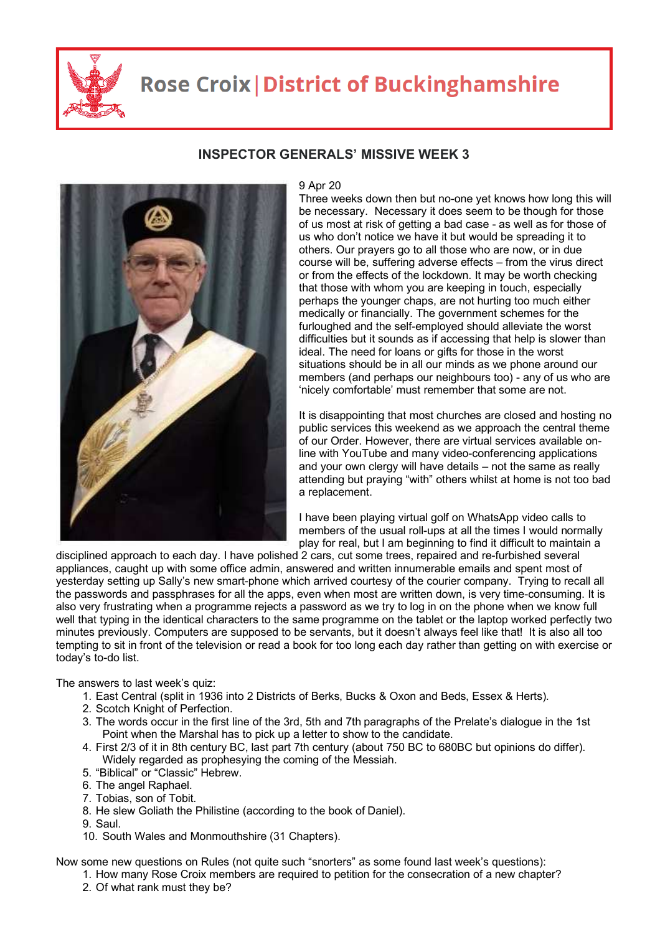

## **Rose Croix | District of Buckinghamshire**



**INSPECTOR GENERALS' MISSIVE WEEK 3** 

9 Apr 20 Three weeks down then but no-one yet knows how long this will be necessary. Necessary it does seem to be though for those of us most at risk of getting a bad case - as well as for those of us who don't notice we have it but would be spreading it to others. Our prayers go to all those who are now, or in due course will be, suffering adverse effects – from the virus direct or from the effects of the lockdown. It may be worth checking that those with whom you are keeping in touch, especially perhaps the younger chaps, are not hurting too much either medically or financially. The government schemes for the furloughed and the self-employed should alleviate the worst difficulties but it sounds as if accessing that help is slower than ideal. The need for loans or gifts for those in the worst situations should be in all our minds as we phone around our members (and perhaps our neighbours too) - any of us who are 'nicely comfortable' must remember that some are not.

It is disappointing that most churches are closed and hosting no public services this weekend as we approach the central theme of our Order. However, there are virtual services available online with YouTube and many video-conferencing applications and your own clergy will have details – not the same as really attending but praying "with" others whilst at home is not too bad a replacement.

I have been playing virtual golf on WhatsApp video calls to members of the usual roll-ups at all the times I would normally play for real, but I am beginning to find it difficult to maintain a

disciplined approach to each day. I have polished 2 cars, cut some trees, repaired and re-furbished several appliances, caught up with some office admin, answered and written innumerable emails and spent most of yesterday setting up Sally's new smart-phone which arrived courtesy of the courier company. Trying to recall all the passwords and passphrases for all the apps, even when most are written down, is very time-consuming. It is also very frustrating when a programme rejects a password as we try to log in on the phone when we know full well that typing in the identical characters to the same programme on the tablet or the laptop worked perfectly two minutes previously. Computers are supposed to be servants, but it doesn't always feel like that! It is also all too tempting to sit in front of the television or read a book for too long each day rather than getting on with exercise or today's to-do list.

The answers to last week's quiz:

- 1. East Central (split in 1936 into 2 Districts of Berks, Bucks & Oxon and Beds, Essex & Herts).
- 2. Scotch Knight of Perfection.
- 3. The words occur in the first line of the 3rd, 5th and 7th paragraphs of the Prelate's dialogue in the 1st Point when the Marshal has to pick up a letter to show to the candidate.
- 4. First 2/3 of it in 8th century BC, last part 7th century (about 750 BC to 680BC but opinions do differ). Widely regarded as prophesying the coming of the Messiah.
- 5. "Biblical" or "Classic" Hebrew.
- 6. The angel Raphael.
- 7. Tobias, son of Tobit.
- 8. He slew Goliath the Philistine (according to the book of Daniel).
- 9. Saul.
- 10. South Wales and Monmouthshire (31 Chapters).

Now some new questions on Rules (not quite such "snorters" as some found last week's questions):

- 1. How many Rose Croix members are required to petition for the consecration of a new chapter?
- 2. Of what rank must they be?